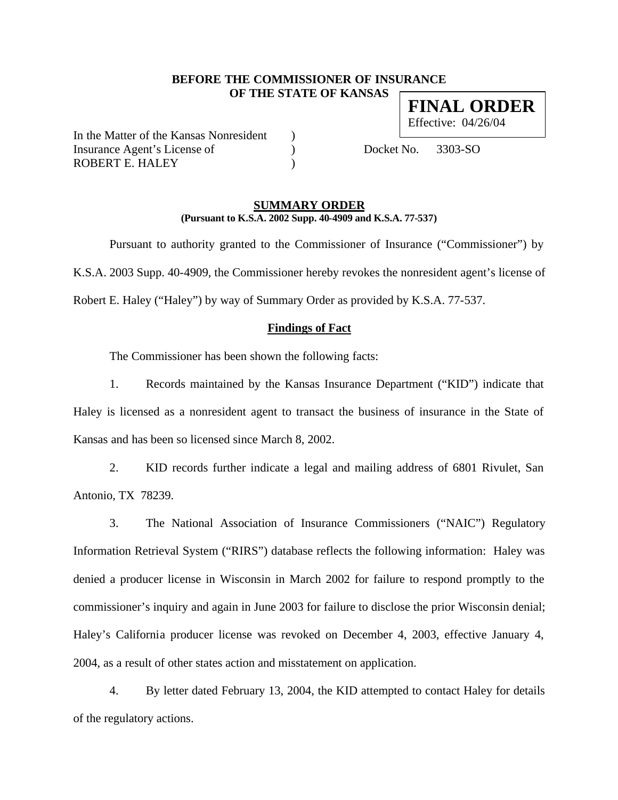# **BEFORE THE COMMISSIONER OF INSURANCE OF THE STATE OF KANSAS FINAL ORDER**

In the Matter of the Kansas Nonresident ) Insurance Agent's License of (a) Docket No. 3303-SO ROBERT E. HALEY (1998)

Effective: 04/26/04

### **SUMMARY ORDER (Pursuant to K.S.A. 2002 Supp. 40-4909 and K.S.A. 77-537)**

Pursuant to authority granted to the Commissioner of Insurance ("Commissioner") by K.S.A. 2003 Supp. 40-4909, the Commissioner hereby revokes the nonresident agent's license of Robert E. Haley ("Haley") by way of Summary Order as provided by K.S.A. 77-537.

# **Findings of Fact**

The Commissioner has been shown the following facts:

1. Records maintained by the Kansas Insurance Department ("KID") indicate that Haley is licensed as a nonresident agent to transact the business of insurance in the State of Kansas and has been so licensed since March 8, 2002.

2. KID records further indicate a legal and mailing address of 6801 Rivulet, San Antonio, TX 78239.

3. The National Association of Insurance Commissioners ("NAIC") Regulatory Information Retrieval System ("RIRS") database reflects the following information: Haley was denied a producer license in Wisconsin in March 2002 for failure to respond promptly to the commissioner's inquiry and again in June 2003 for failure to disclose the prior Wisconsin denial; Haley's California producer license was revoked on December 4, 2003, effective January 4, 2004, as a result of other states action and misstatement on application.

4. By letter dated February 13, 2004, the KID attempted to contact Haley for details of the regulatory actions.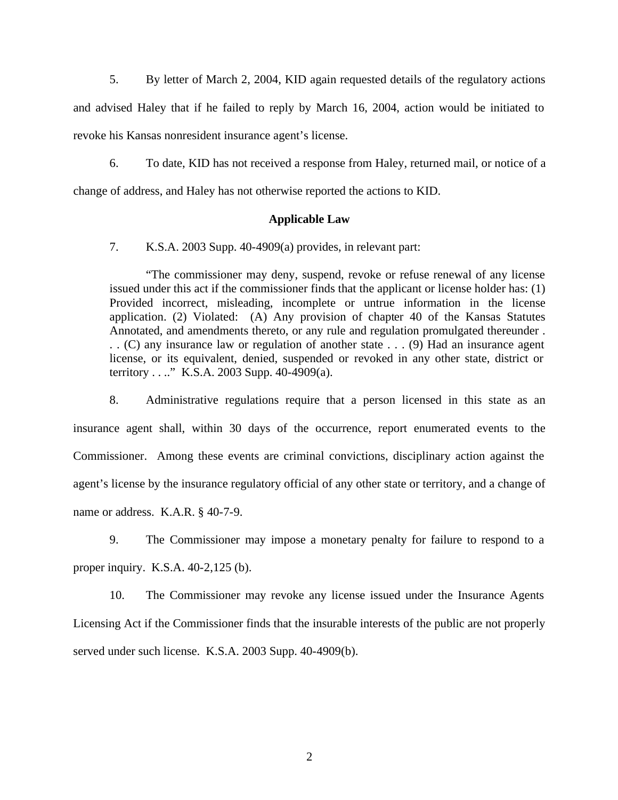5. By letter of March 2, 2004, KID again requested details of the regulatory actions and advised Haley that if he failed to reply by March 16, 2004, action would be initiated to revoke his Kansas nonresident insurance agent's license.

6. To date, KID has not received a response from Haley, returned mail, or notice of a change of address, and Haley has not otherwise reported the actions to KID.

#### **Applicable Law**

7. K.S.A. 2003 Supp. 40-4909(a) provides, in relevant part:

"The commissioner may deny, suspend, revoke or refuse renewal of any license issued under this act if the commissioner finds that the applicant or license holder has: (1) Provided incorrect, misleading, incomplete or untrue information in the license application. (2) Violated: (A) Any provision of chapter 40 of the Kansas Statutes Annotated, and amendments thereto, or any rule and regulation promulgated thereunder . . . (C) any insurance law or regulation of another state . . . (9) Had an insurance agent license, or its equivalent, denied, suspended or revoked in any other state, district or territory . . .." K.S.A. 2003 Supp. 40-4909(a).

8. Administrative regulations require that a person licensed in this state as an insurance agent shall, within 30 days of the occurrence, report enumerated events to the Commissioner. Among these events are criminal convictions, disciplinary action against the agent's license by the insurance regulatory official of any other state or territory, and a change of name or address. K.A.R. § 40-7-9.

9. The Commissioner may impose a monetary penalty for failure to respond to a proper inquiry. K.S.A. 40-2,125 (b).

10. The Commissioner may revoke any license issued under the Insurance Agents Licensing Act if the Commissioner finds that the insurable interests of the public are not properly served under such license. K.S.A. 2003 Supp. 40-4909(b).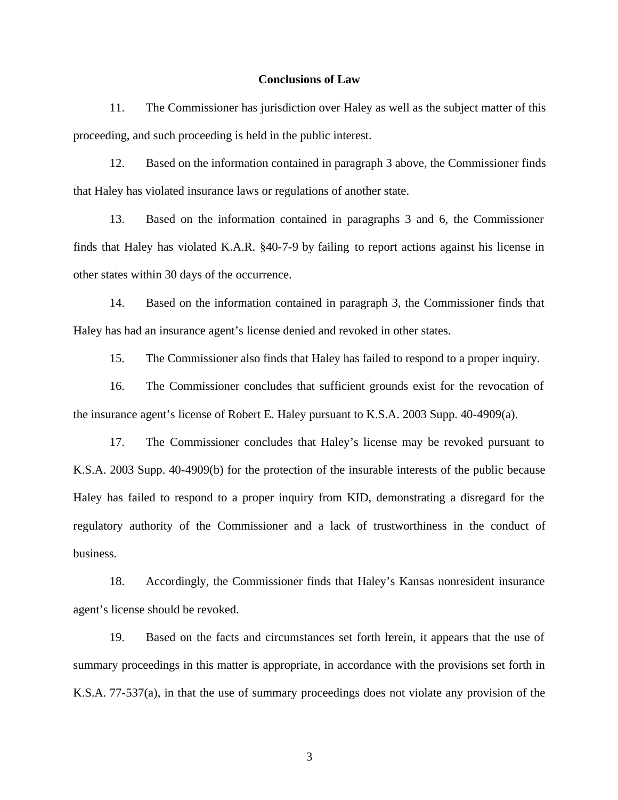#### **Conclusions of Law**

11. The Commissioner has jurisdiction over Haley as well as the subject matter of this proceeding, and such proceeding is held in the public interest.

12. Based on the information contained in paragraph 3 above, the Commissioner finds that Haley has violated insurance laws or regulations of another state.

13. Based on the information contained in paragraphs 3 and 6, the Commissioner finds that Haley has violated K.A.R. §40-7-9 by failing to report actions against his license in other states within 30 days of the occurrence.

14. Based on the information contained in paragraph 3, the Commissioner finds that Haley has had an insurance agent's license denied and revoked in other states.

15. The Commissioner also finds that Haley has failed to respond to a proper inquiry.

16. The Commissioner concludes that sufficient grounds exist for the revocation of the insurance agent's license of Robert E. Haley pursuant to K.S.A. 2003 Supp. 40-4909(a).

17. The Commissioner concludes that Haley's license may be revoked pursuant to K.S.A. 2003 Supp. 40-4909(b) for the protection of the insurable interests of the public because Haley has failed to respond to a proper inquiry from KID, demonstrating a disregard for the regulatory authority of the Commissioner and a lack of trustworthiness in the conduct of business.

18. Accordingly, the Commissioner finds that Haley's Kansas nonresident insurance agent's license should be revoked.

19. Based on the facts and circumstances set forth herein, it appears that the use of summary proceedings in this matter is appropriate, in accordance with the provisions set forth in K.S.A. 77-537(a), in that the use of summary proceedings does not violate any provision of the

3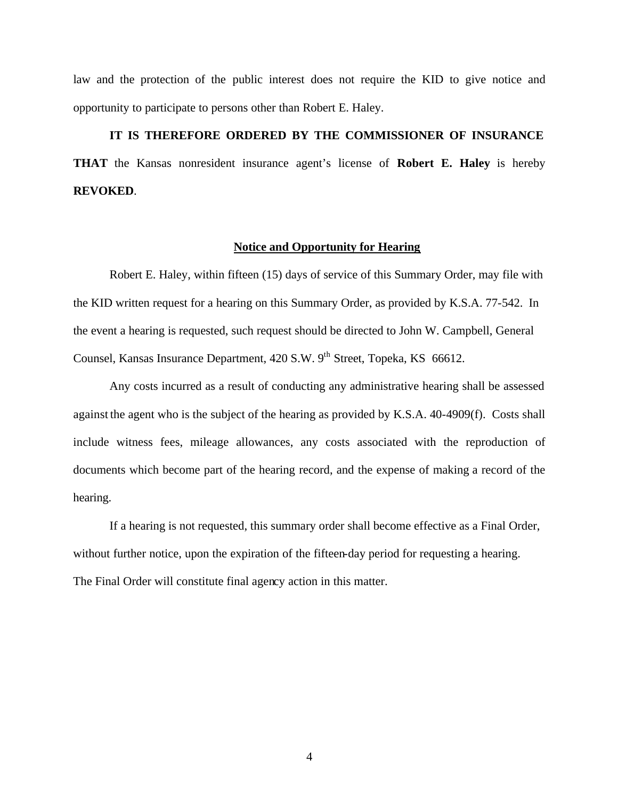law and the protection of the public interest does not require the KID to give notice and opportunity to participate to persons other than Robert E. Haley.

# **IT IS THEREFORE ORDERED BY THE COMMISSIONER OF INSURANCE THAT** the Kansas nonresident insurance agent's license of **Robert E. Haley** is hereby **REVOKED**.

#### **Notice and Opportunity for Hearing**

Robert E. Haley, within fifteen (15) days of service of this Summary Order, may file with the KID written request for a hearing on this Summary Order, as provided by K.S.A. 77-542. In the event a hearing is requested, such request should be directed to John W. Campbell, General Counsel, Kansas Insurance Department, 420 S.W. 9<sup>th</sup> Street, Topeka, KS 66612.

Any costs incurred as a result of conducting any administrative hearing shall be assessed against the agent who is the subject of the hearing as provided by K.S.A. 40-4909(f). Costs shall include witness fees, mileage allowances, any costs associated with the reproduction of documents which become part of the hearing record, and the expense of making a record of the hearing.

If a hearing is not requested, this summary order shall become effective as a Final Order, without further notice, upon the expiration of the fifteen-day period for requesting a hearing. The Final Order will constitute final agency action in this matter.